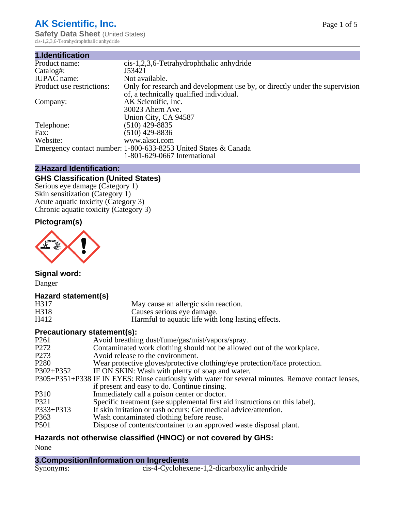# **AK Scientific, Inc.**

**Safety Data Sheet (United States)** cis-1,2,3,6-Tetrahydrophthalic anhydride

| 1.Identification          |                                                                                                                        |
|---------------------------|------------------------------------------------------------------------------------------------------------------------|
| Product name:             | cis-1,2,3,6-Tetrahydrophthalic anhydride                                                                               |
| Catalog#:                 | J53421                                                                                                                 |
| <b>IUPAC</b> name:        | Not available.                                                                                                         |
| Product use restrictions: | Only for research and development use by, or directly under the supervision<br>of, a technically qualified individual. |
| Company:                  | AK Scientific, Inc.                                                                                                    |
|                           | 30023 Ahern Ave.                                                                                                       |
|                           | Union City, CA 94587                                                                                                   |
| Telephone:                | $(510)$ 429-8835                                                                                                       |
| Fax:                      | (510) 429-8836                                                                                                         |
| Website:                  | www.aksci.com                                                                                                          |
|                           | Emergency contact number: 1-800-633-8253 United States & Canada                                                        |
|                           | 1-801-629-0667 International                                                                                           |

## **2.Hazard Identification:**

# **GHS Classification (United States)**

Serious eye damage (Category 1) Skin sensitization (Category 1) Acute aquatic toxicity (Category 3) Chronic aquatic toxicity (Category 3)

## **Pictogram(s)**



# **Signal word:**

Danger

#### **Hazard statement(s)**

| H317 | May cause an allergic skin reaction.               |
|------|----------------------------------------------------|
| H318 | Causes serious eye damage.                         |
| H412 | Harmful to aquatic life with long lasting effects. |

## **Precautionary statement(s):**

| P <sub>261</sub> | Avoid breathing dust/fume/gas/mist/vapors/spray.                                                   |
|------------------|----------------------------------------------------------------------------------------------------|
| P <sub>272</sub> | Contaminated work clothing should not be allowed out of the workplace.                             |
| P <sub>273</sub> | Avoid release to the environment.                                                                  |
| P <sub>280</sub> | Wear protective gloves/protective clothing/eye protection/face protection.                         |
| P302+P352        | IF ON SKIN: Wash with plenty of soap and water.                                                    |
|                  | P305+P351+P338 IF IN EYES: Rinse cautiously with water for several minutes. Remove contact lenses, |
|                  | if present and easy to do. Continue rinsing.                                                       |
| P310             | Immediately call a poison center or doctor.                                                        |
| P321             | Specific treatment (see supplemental first aid instructions on this label).                        |
| P333+P313        | If skin irritation or rash occurs: Get medical advice/attention.                                   |
| P363             | Wash contaminated clothing before reuse.                                                           |
| <b>P501</b>      | Dispose of contents/container to an approved waste disposal plant.                                 |
|                  |                                                                                                    |

# **Hazards not otherwise classified (HNOC) or not covered by GHS:**

None

| 3. Composition/Information on Ingredients |                                              |
|-------------------------------------------|----------------------------------------------|
| Synonyms:                                 | cis-4-Cyclohexene-1,2-dicarboxylic anhydride |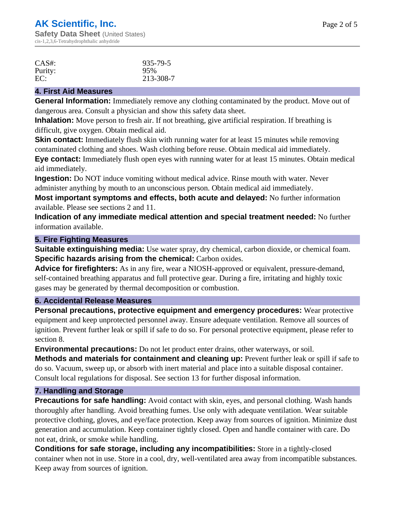| CAS#:   | 935-79-5  |
|---------|-----------|
| Purity: | 95%       |
| EC:     | 213-308-7 |

#### **4. First Aid Measures**

**General Information:** Immediately remove any clothing contaminated by the product. Move out of dangerous area. Consult a physician and show this safety data sheet.

**Inhalation:** Move person to fresh air. If not breathing, give artificial respiration. If breathing is difficult, give oxygen. Obtain medical aid.

**Skin contact:** Immediately flush skin with running water for at least 15 minutes while removing contaminated clothing and shoes. Wash clothing before reuse. Obtain medical aid immediately.

**Eye contact:** Immediately flush open eyes with running water for at least 15 minutes. Obtain medical aid immediately.

**Ingestion:** Do NOT induce vomiting without medical advice. Rinse mouth with water. Never administer anything by mouth to an unconscious person. Obtain medical aid immediately.

**Most important symptoms and effects, both acute and delayed:** No further information available. Please see sections 2 and 11.

**Indication of any immediate medical attention and special treatment needed:** No further information available.

#### **5. Fire Fighting Measures**

**Suitable extinguishing media:** Use water spray, dry chemical, carbon dioxide, or chemical foam. **Specific hazards arising from the chemical:** Carbon oxides.

**Advice for firefighters:** As in any fire, wear a NIOSH-approved or equivalent, pressure-demand, self-contained breathing apparatus and full protective gear. During a fire, irritating and highly toxic gases may be generated by thermal decomposition or combustion.

#### **6. Accidental Release Measures**

**Personal precautions, protective equipment and emergency procedures:** Wear protective equipment and keep unprotected personnel away. Ensure adequate ventilation. Remove all sources of ignition. Prevent further leak or spill if safe to do so. For personal protective equipment, please refer to section 8.

**Environmental precautions:** Do not let product enter drains, other waterways, or soil.

**Methods and materials for containment and cleaning up:** Prevent further leak or spill if safe to do so. Vacuum, sweep up, or absorb with inert material and place into a suitable disposal container. Consult local regulations for disposal. See section 13 for further disposal information.

#### **7. Handling and Storage**

**Precautions for safe handling:** Avoid contact with skin, eyes, and personal clothing. Wash hands thoroughly after handling. Avoid breathing fumes. Use only with adequate ventilation. Wear suitable protective clothing, gloves, and eye/face protection. Keep away from sources of ignition. Minimize dust generation and accumulation. Keep container tightly closed. Open and handle container with care. Do not eat, drink, or smoke while handling.

**Conditions for safe storage, including any incompatibilities:** Store in a tightly-closed container when not in use. Store in a cool, dry, well-ventilated area away from incompatible substances. Keep away from sources of ignition.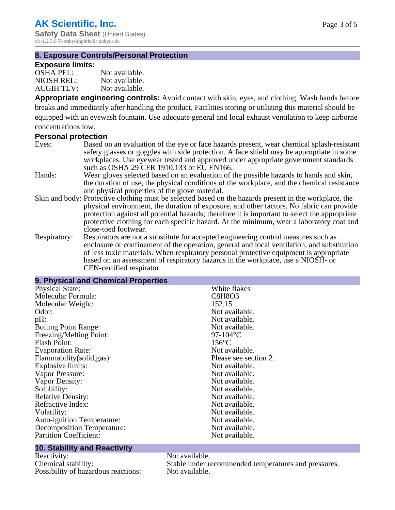**Safety Data Sheet** (United States) cis-1,2,3,6-Tetrahydrophthalic anhydride

## **8. Exposure Controls/Personal Protection**

#### **Exposure limits:**

| <b>OSHA PEL:</b>  | Not available. |
|-------------------|----------------|
| NIOSH REL:        | Not available. |
| <b>ACGIH TLV:</b> | Not available. |

**Appropriate engineering controls:** Avoid contact with skin, eyes, and clothing. Wash hands before breaks and immediately after handling the product. Facilities storing or utilizing this material should be equipped with an eyewash fountain. Use adequate general and local exhaust ventilation to keep airborne concentrations low.

#### **Personal protection**

- Eyes: Based on an evaluation of the eye or face hazards present, wear chemical splash-resistant safety glasses or goggles with side protection. A face shield may be appropriate in some workplaces. Use eyewear tested and approved under appropriate government standards such as OSHA 29 CFR 1910.133 or EU EN166.
- Hands: Wear gloves selected based on an evaluation of the possible hazards to hands and skin, the duration of use, the physical conditions of the workplace, and the chemical resistance and physical properties of the glove material.
- Skin and body: Protective clothing must be selected based on the hazards present in the workplace, the physical environment, the duration of exposure, and other factors. No fabric can provide protection against all potential hazards; therefore it is important to select the appropriate protective clothing for each specific hazard. At the minimum, wear a laboratory coat and close-toed footwear.
- Respiratory: Respirators are not a substitute for accepted engineering control measures such as enclosure or confinement of the operation, general and local ventilation, and substitution of less toxic materials. When respiratory personal protective equipment is appropriate based on an assessment of respiratory hazards in the workplace, use a NIOSH- or CEN-certified respirator.

#### **9. Physical and Chemical Properties** Physical State: White flakes Molecular Formula: C8H8O3<br>
Molecular Weight: 152.15 Molecular Weight:<br>Odor: Not available. pH:  $P$  Not available. Boiling Point Range: Not available. Freezing/Melting Point: 97-104°C<br>Flash Point: 156°C Flash Point: 156°C<br>Evaporation Rate: 156°C<br>Not available. Evaporation Rate:<br>
Flammability(solid.gas):<br>
Please see section 2. Flammability(solid,gas):<br>
Explosive limits:<br>
Not available. Explosive limits: Not available.<br>
Not available.<br>
Not available.<br>
Not available. Vapor Pressure: Vapor Density: Not available. Solubility:<br>
Relative Density:<br>
Not available.<br>
Not available. Relative Density:<br>
Refractive Index:<br>
Not available.<br>
Not available.<br>
Not available. Refractive Index: Volatility: Not available. Auto-ignition Temperature: Not available.<br>
Decomposition Temperature: Not available. Decomposition Temperature: Not available.<br>
Partition Coefficient: Not available. Partition Coefficient:

#### **10. Stability and Reactivity**

Reactivity: Not available.<br>
Chemical stability: Stable under re Possibility of hazardous reactions: Not available.

Stable under recommended temperatures and pressures.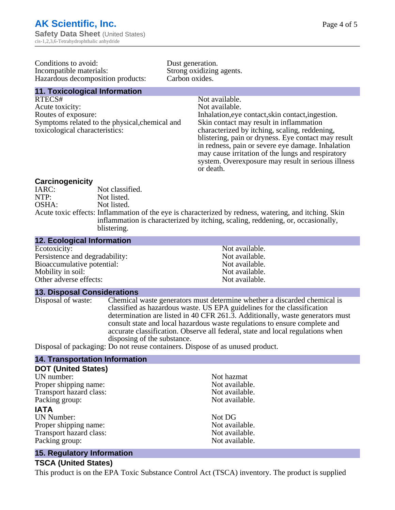Conditions to avoid:<br>
Incompatible materials:<br>
Strong oxidizing Hazardous decomposition products:

Strong oxidizing agents.<br>Carbon oxides.

# **11. Toxicological Information**

RTECS# Not available. Acute toxicity: Not available. Routes of exposure: Inhalation,eye contact,skin contact,ingestion. Symptoms related to the physical,chemical and toxicological characteristics:

Skin contact may result in inflammation characterized by itching, scaling, reddening, blistering, pain or dryness. Eye contact may result in redness, pain or severe eye damage. Inhalation may cause irritation of the lungs and respiratory system. Overexposure may result in serious illness or death.

#### **Carcinogenicity**

| Not classified.                                                                                       |
|-------------------------------------------------------------------------------------------------------|
| Not listed.                                                                                           |
| Not listed.                                                                                           |
| Acute toxic effects: Inflammation of the eye is characterized by redness, watering, and itching. Skin |
| inflammation is characterized by itching, scaling, reddening, or, occasionally,                       |
| blistering.                                                                                           |
|                                                                                                       |

| <b>12. Ecological Information</b> |                |
|-----------------------------------|----------------|
| Ecotoxicity:                      | Not available. |
| Persistence and degradability:    | Not available. |
| Bioaccumulative potential:        | Not available. |
| Mobility in soil:                 | Not available. |
| Other adverse effects:            | Not available. |

#### **13. Disposal Considerations**

Disposal of waste: Chemical waste generators must determine whether a discarded chemical is classified as hazardous waste. US EPA guidelines for the classification determination are listed in 40 CFR 261.3. Additionally, waste generators must consult state and local hazardous waste regulations to ensure complete and accurate classification. Observe all federal, state and local regulations when disposing of the substance.

Disposal of packaging: Do not reuse containers. Dispose of as unused product.

#### **14. Transportation Information**

| <b>DOT (United States)</b> |                |
|----------------------------|----------------|
| UN number:                 | Not hazmat     |
| Proper shipping name:      | Not available. |
| Transport hazard class:    | Not available. |
| Packing group:             | Not available. |
| <b>IATA</b>                |                |
| <b>UN Number:</b>          | Not DG         |
| Proper shipping name:      | Not available. |
| Transport hazard class:    | Not available. |
| Packing group:             | Not available. |

#### **15. Regulatory Information**

#### **TSCA (United States)**

This product is on the EPA Toxic Substance Control Act (TSCA) inventory. The product is supplied